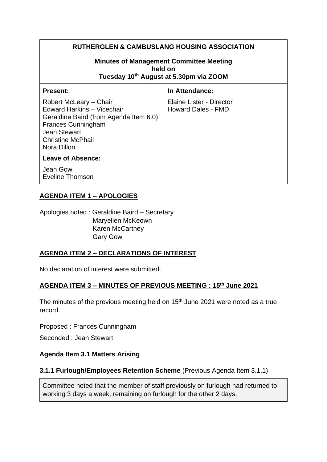## **RUTHERGLEN & CAMBUSLANG HOUSING ASSOCIATION**

# **Minutes of Management Committee Meeting held on**

**Tuesday 10th August at 5.30pm via ZOOM**

**Present:** In Attendance:

Robert McLeary – Chair Elaine Lister - Director Edward Harkins – Vicechair **Howard Dales - FMD** Geraldine Baird (from Agenda Item 6.0) Frances Cunningham Jean Stewart Christine McPhail Nora Dillon

#### **Leave of Absence:**

Jean Gow Eveline Thomson

## **AGENDA ITEM 1 – APOLOGIES**

Apologies noted : Geraldine Baird – Secretary Maryellen McKeown Karen McCartney Gary Gow

#### **AGENDA ITEM 2 – DECLARATIONS OF INTEREST**

No declaration of interest were submitted.

#### **AGENDA ITEM 3 – MINUTES OF PREVIOUS MEETING : 15th June 2021**

The minutes of the previous meeting held on 15<sup>th</sup> June 2021 were noted as a true record.

Proposed : Frances Cunningham

Seconded : Jean Stewart

#### **Agenda Item 3.1 Matters Arising**

#### **3.1.1 Furlough/Employees Retention Scheme** (Previous Agenda Item 3.1.1)

Committee noted that the member of staff previously on furlough had returned to working 3 days a week, remaining on furlough for the other 2 days.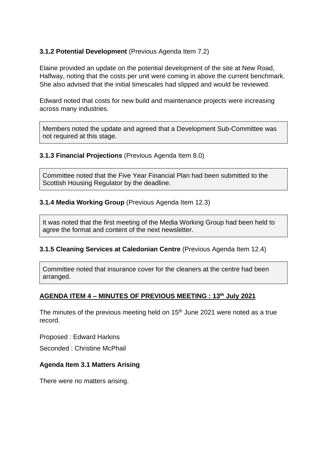## **3.1.2 Potential Development** (Previous Agenda Item 7.2)

Elaine provided an update on the potential development of the site at New Road, Halfway, noting that the costs per unit were coming in above the current benchmark. She also advised that the initial timescales had slipped and would be reviewed.

Edward noted that costs for new build and maintenance projects were increasing across many industries.

Members noted the update and agreed that a Development Sub-Committee was not required at this stage.

## **3.1.3 Financial Projections** (Previous Agenda Item 8.0)

Committee noted that the Five Year Financial Plan had been submitted to the Scottish Housing Regulator by the deadline.

## **3.1.4 Media Working Group** (Previous Agenda Item 12.3)

It was noted that the first meeting of the Media Working Group had been held to agree the format and content of the next newsletter.

#### **3.1.5 Cleaning Services at Caledonian Centre** (Previous Agenda Item 12.4)

Committee noted that insurance cover for the cleaners at the centre had been arranged.

## **AGENDA ITEM 4 – MINUTES OF PREVIOUS MEETING : 13th July 2021**

The minutes of the previous meeting held on  $15<sup>th</sup>$  June 2021 were noted as a true record.

Proposed : Edward Harkins

Seconded : Christine McPhail

#### **Agenda Item 3.1 Matters Arising**

There were no matters arising.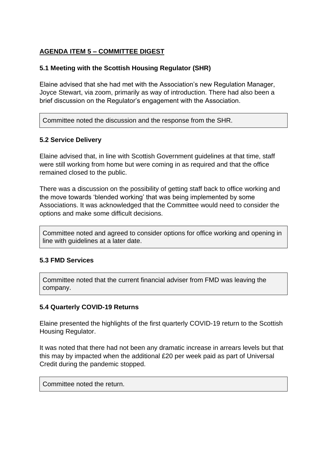## **AGENDA ITEM 5 – COMMITTEE DIGEST**

## **5.1 Meeting with the Scottish Housing Regulator (SHR)**

Elaine advised that she had met with the Association's new Regulation Manager, Joyce Stewart, via zoom, primarily as way of introduction. There had also been a brief discussion on the Regulator's engagement with the Association.

Committee noted the discussion and the response from the SHR.

## **5.2 Service Delivery**

Elaine advised that, in line with Scottish Government guidelines at that time, staff were still working from home but were coming in as required and that the office remained closed to the public.

There was a discussion on the possibility of getting staff back to office working and the move towards 'blended working' that was being implemented by some Associations. It was acknowledged that the Committee would need to consider the options and make some difficult decisions.

Committee noted and agreed to consider options for office working and opening in line with guidelines at a later date.

## **5.3 FMD Services**

Committee noted that the current financial adviser from FMD was leaving the company.

## **5.4 Quarterly COVID-19 Returns**

Elaine presented the highlights of the first quarterly COVID-19 return to the Scottish Housing Regulator.

It was noted that there had not been any dramatic increase in arrears levels but that this may by impacted when the additional £20 per week paid as part of Universal Credit during the pandemic stopped.

Committee noted the return.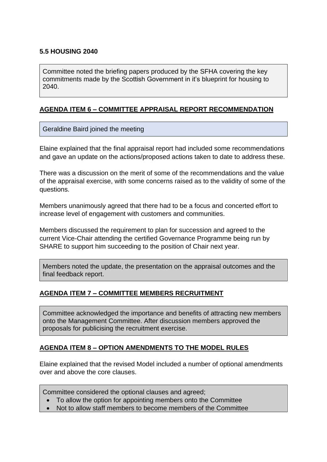## **5.5 HOUSING 2040**

Committee noted the briefing papers produced by the SFHA covering the key commitments made by the Scottish Government in it's blueprint for housing to 2040.

## **AGENDA ITEM 6 – COMMITTEE APPRAISAL REPORT RECOMMENDATION**

## Geraldine Baird joined the meeting

Elaine explained that the final appraisal report had included some recommendations and gave an update on the actions/proposed actions taken to date to address these.

There was a discussion on the merit of some of the recommendations and the value of the appraisal exercise, with some concerns raised as to the validity of some of the questions.

Members unanimously agreed that there had to be a focus and concerted effort to increase level of engagement with customers and communities.

Members discussed the requirement to plan for succession and agreed to the current Vice-Chair attending the certified Governance Programme being run by SHARE to support him succeeding to the position of Chair next year.

Members noted the update, the presentation on the appraisal outcomes and the final feedback report.

## **AGENDA ITEM 7 – COMMITTEE MEMBERS RECRUITMENT**

Committee acknowledged the importance and benefits of attracting new members onto the Management Committee. After discussion members approved the proposals for publicising the recruitment exercise.

## **AGENDA ITEM 8 – OPTION AMENDMENTS TO THE MODEL RULES**

Elaine explained that the revised Model included a number of optional amendments over and above the core clauses.

Committee considered the optional clauses and agreed;

- To allow the option for appointing members onto the Committee
- Not to allow staff members to become members of the Committee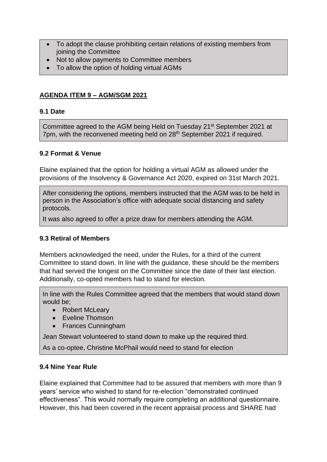- To adopt the clause prohibiting certain relations of existing members from joining the Committee
- Not to allow payments to Committee members
- To allow the option of holding virtual AGMs

## **AGENDA ITEM 9 – AGM/SGM 2021**

#### **9.1 Date**

Committee agreed to the AGM being Held on Tuesday 21st September 2021 at 7pm, with the reconvened meeting held on 28<sup>th</sup> September 2021 if required.

#### **9.2 Format & Venue**

Elaine explained that the option for holding a virtual AGM as allowed under the provisions of the Insolvency & Governance Act 2020, expired on 31st March 2021.

After considering the options, members instructed that the AGM was to be held in person in the Association's office with adequate social distancing and safety protocols.

It was also agreed to offer a prize draw for members attending the AGM.

#### **9.3 Retiral of Members**

Members acknowledged the need, under the Rules, for a third of the current Committee to stand down. In line with the guidance, these should be the members that had served the longest on the Committee since the date of their last election. Additionally, co-opted members had to stand for election.

In line with the Rules Committee agreed that the members that would stand down would be;

- Robert McLeary
- Eveline Thomson
- Frances Cunningham

Jean Stewart volunteered to stand down to make up the required third.

As a co-optee, Christine McPhail would need to stand for election

#### **9.4 Nine Year Rule**

Elaine explained that Committee had to be assured that members with more than 9 years' service who wished to stand for re-election "demonstrated continued effectiveness". This would normally require completing an additional questionnaire. However, this had been covered in the recent appraisal process and SHARE had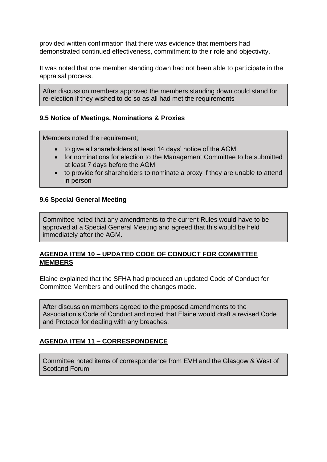provided written confirmation that there was evidence that members had demonstrated continued effectiveness, commitment to their role and objectivity.

It was noted that one member standing down had not been able to participate in the appraisal process.

After discussion members approved the members standing down could stand for re-election if they wished to do so as all had met the requirements

## **9.5 Notice of Meetings, Nominations & Proxies**

Members noted the requirement;

- to give all shareholders at least 14 days' notice of the AGM
- for nominations for election to the Management Committee to be submitted at least 7 days before the AGM
- to provide for shareholders to nominate a proxy if they are unable to attend in person

#### **9.6 Special General Meeting**

Committee noted that any amendments to the current Rules would have to be approved at a Special General Meeting and agreed that this would be held immediately after the AGM.

## **AGENDA ITEM 10 – UPDATED CODE OF CONDUCT FOR COMMITTEE MEMBERS**

Elaine explained that the SFHA had produced an updated Code of Conduct for Committee Members and outlined the changes made.

After discussion members agreed to the proposed amendments to the Association's Code of Conduct and noted that Elaine would draft a revised Code and Protocol for dealing with any breaches.

#### **AGENDA ITEM 11 – CORRESPONDENCE**

Committee noted items of correspondence from EVH and the Glasgow & West of Scotland Forum.